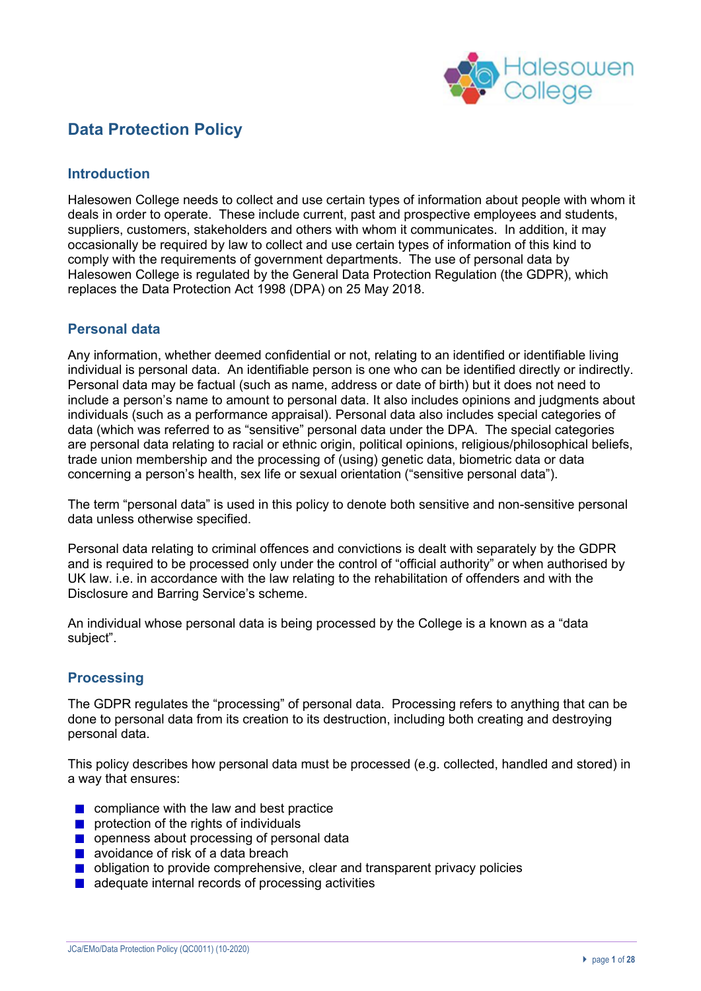

## **Data Protection Policy**

## **Introduction**

Halesowen College needs to collect and use certain types of information about people with whom it deals in order to operate. These include current, past and prospective employees and students, suppliers, customers, stakeholders and others with whom it communicates. In addition, it may occasionally be required by law to collect and use certain types of information of this kind to comply with the requirements of government departments. The use of personal data by Halesowen College is regulated by the General Data Protection Regulation (the GDPR), which replaces the Data Protection Act 1998 (DPA) on 25 May 2018.

## **Personal data**

Any information, whether deemed confidential or not, relating to an identified or identifiable living individual is personal data. An identifiable person is one who can be identified directly or indirectly. Personal data may be factual (such as name, address or date of birth) but it does not need to include a person's name to amount to personal data. It also includes opinions and judgments about individuals (such as a performance appraisal). Personal data also includes special categories of data (which was referred to as "sensitive" personal data under the DPA. The special categories are personal data relating to racial or ethnic origin, political opinions, religious/philosophical beliefs, trade union membership and the processing of (using) genetic data, biometric data or data concerning a person's health, sex life or sexual orientation ("sensitive personal data").

The term "personal data" is used in this policy to denote both sensitive and non-sensitive personal data unless otherwise specified.

Personal data relating to criminal offences and convictions is dealt with separately by the GDPR and is required to be processed only under the control of "official authority" or when authorised by UK law. i.e. in accordance with the law relating to the rehabilitation of offenders and with the Disclosure and Barring Service's scheme.

An individual whose personal data is being processed by the College is a known as a "data subject".

## **Processing**

The GDPR regulates the "processing" of personal data. Processing refers to anything that can be done to personal data from its creation to its destruction, including both creating and destroying personal data.

This policy describes how personal data must be processed (e.g. collected, handled and stored) in a way that ensures:

- $\blacksquare$  compliance with the law and best practice
- **P** protection of the rights of individuals
- **Openness about processing of personal data**
- **a** avoidance of risk of a data breach
- **D** obligation to provide comprehensive, clear and transparent privacy policies
- $\blacksquare$  adequate internal records of processing activities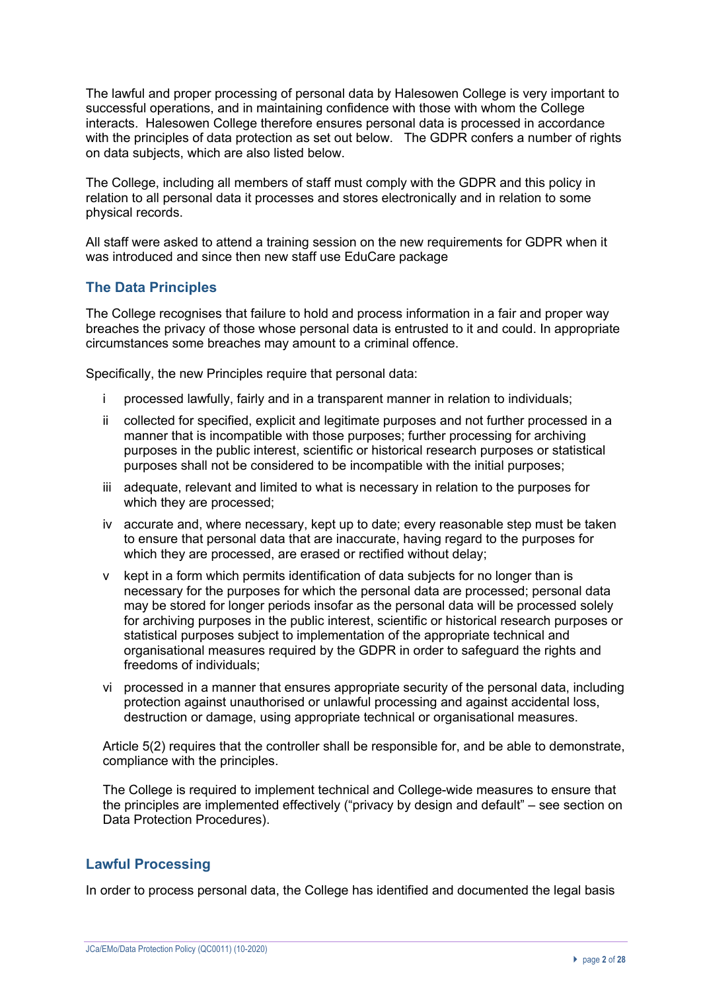The lawful and proper processing of personal data by Halesowen College is very important to successful operations, and in maintaining confidence with those with whom the College interacts. Halesowen College therefore ensures personal data is processed in accordance with the principles of data protection as set out below. The GDPR confers a number of rights on data subjects, which are also listed below.

The College, including all members of staff must comply with the GDPR and this policy in relation to all personal data it processes and stores electronically and in relation to some physical records.

All staff were asked to attend a training session on the new requirements for GDPR when it was introduced and since then new staff use EduCare package

## **The Data Principles**

The College recognises that failure to hold and process information in a fair and proper way breaches the privacy of those whose personal data is entrusted to it and could. In appropriate circumstances some breaches may amount to a criminal offence.

Specifically, the new Principles require that personal data:

- i processed lawfully, fairly and in a transparent manner in relation to individuals;
- ii collected for specified, explicit and legitimate purposes and not further processed in a manner that is incompatible with those purposes; further processing for archiving purposes in the public interest, scientific or historical research purposes or statistical purposes shall not be considered to be incompatible with the initial purposes;
- iii adequate, relevant and limited to what is necessary in relation to the purposes for which they are processed;
- iv accurate and, where necessary, kept up to date; every reasonable step must be taken to ensure that personal data that are inaccurate, having regard to the purposes for which they are processed, are erased or rectified without delay;
- v kept in a form which permits identification of data subjects for no longer than is necessary for the purposes for which the personal data are processed; personal data may be stored for longer periods insofar as the personal data will be processed solely for archiving purposes in the public interest, scientific or historical research purposes or statistical purposes subject to implementation of the appropriate technical and organisational measures required by the GDPR in order to safeguard the rights and freedoms of individuals;
- vi processed in a manner that ensures appropriate security of the personal data, including protection against unauthorised or unlawful processing and against accidental loss, destruction or damage, using appropriate technical or organisational measures.

Article 5(2) requires that the controller shall be responsible for, and be able to demonstrate, compliance with the principles.

The College is required to implement technical and College-wide measures to ensure that the principles are implemented effectively ("privacy by design and default" – see section on Data Protection Procedures).

## **Lawful Processing**

In order to process personal data, the College has identified and documented the legal basis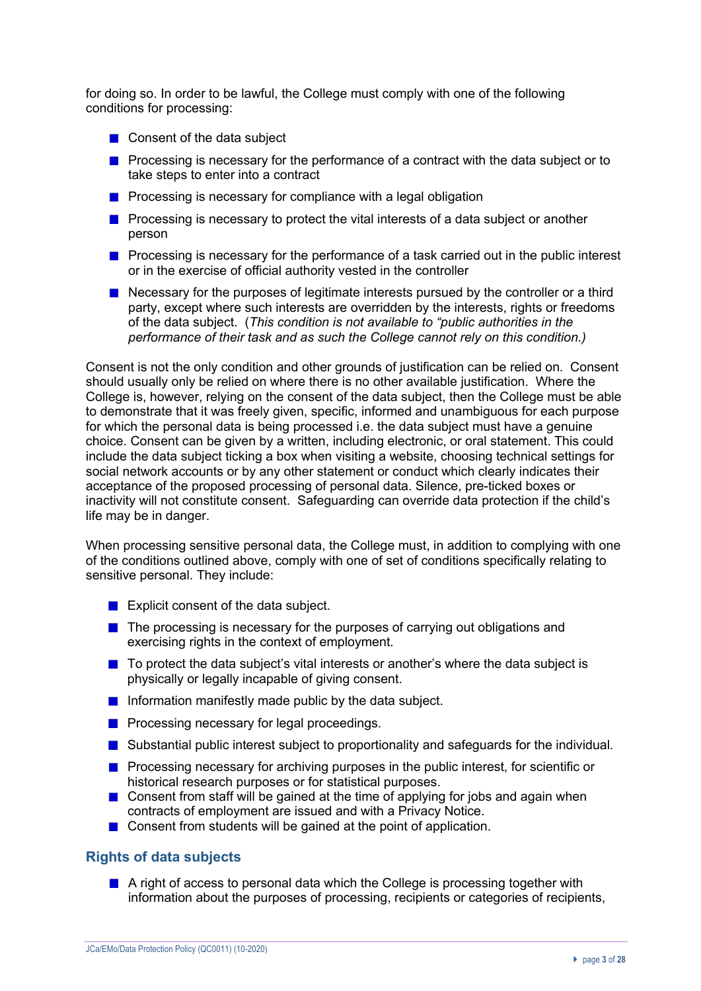for doing so. In order to be lawful, the College must comply with one of the following conditions for processing:

- Consent of the data subject
- **Processing is necessary for the performance of a contract with the data subject or to** take steps to enter into a contract
- **Processing is necessary for compliance with a legal obligation**
- **Processing is necessary to protect the vital interests of a data subject or another** person
- **Processing is necessary for the performance of a task carried out in the public interest** or in the exercise of official authority vested in the controller
- Necessary for the purposes of legitimate interests pursued by the controller or a third party, except where such interests are overridden by the interests, rights or freedoms of the data subject. (*This condition is not available to "public authorities in the performance of their task and as such the College cannot rely on this condition.)*

Consent is not the only condition and other grounds of justification can be relied on. Consent should usually only be relied on where there is no other available justification. Where the College is, however, relying on the consent of the data subject, then the College must be able to demonstrate that it was freely given, specific, informed and unambiguous for each purpose for which the personal data is being processed i.e. the data subject must have a genuine choice. Consent can be given by a written, including electronic, or oral statement. This could include the data subject ticking a box when visiting a website, choosing technical settings for social network accounts or by any other statement or conduct which clearly indicates their acceptance of the proposed processing of personal data. Silence, pre-ticked boxes or inactivity will not constitute consent. Safeguarding can override data protection if the child's life may be in danger.

When processing sensitive personal data, the College must, in addition to complying with one of the conditions outlined above, comply with one of set of conditions specifically relating to sensitive personal. They include:

- **EXPLICITE:** Explicit consent of the data subject.
- $\blacksquare$  The processing is necessary for the purposes of carrying out obligations and exercising rights in the context of employment.
- $\blacksquare$  To protect the data subject's vital interests or another's where the data subject is physically or legally incapable of giving consent.
- Information manifestly made public by the data subject.
- **Processing necessary for legal proceedings.**
- **Substantial public interest subject to proportionality and safequards for the individual.**
- **Processing necessary for archiving purposes in the public interest, for scientific or** historical research purposes or for statistical purposes.
- **Consent from staff will be gained at the time of applying for jobs and again when** contracts of employment are issued and with a Privacy Notice.
- Consent from students will be gained at the point of application.

### **Rights of data subjects**

A right of access to personal data which the College is processing together with information about the purposes of processing, recipients or categories of recipients,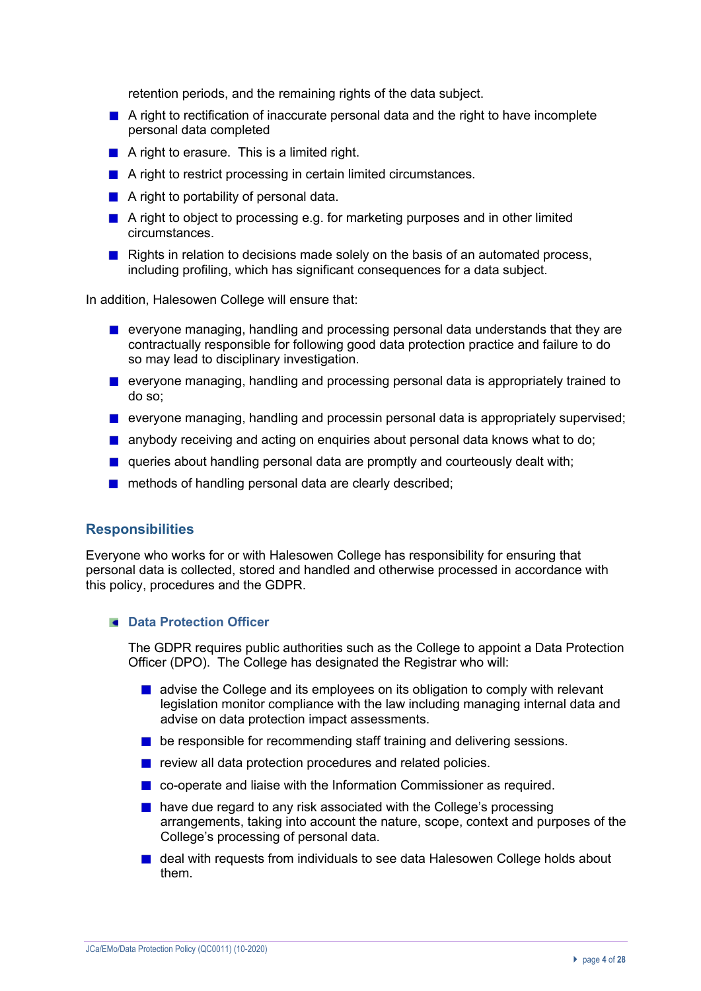retention periods, and the remaining rights of the data subject.

- **A** right to rectification of inaccurate personal data and the right to have incomplete personal data completed
- A right to erasure. This is a limited right.
- A right to restrict processing in certain limited circumstances.
- $\blacksquare$  A right to portability of personal data.
- A right to object to processing e.g. for marketing purposes and in other limited circumstances.
- Rights in relation to decisions made solely on the basis of an automated process, including profiling, which has significant consequences for a data subject.

In addition, Halesowen College will ensure that:

- **E** everyone managing, handling and processing personal data understands that they are contractually responsible for following good data protection practice and failure to do so may lead to disciplinary investigation.
- **E** everyone managing, handling and processing personal data is appropriately trained to do so;
- everyone managing, handling and processin personal data is appropriately supervised;
- **a** anybody receiving and acting on enquiries about personal data knows what to do;
- **E** queries about handling personal data are promptly and courteously dealt with;
- **n** methods of handling personal data are clearly described;

#### **Responsibilities**

Everyone who works for or with Halesowen College has responsibility for ensuring that personal data is collected, stored and handled and otherwise processed in accordance with this policy, procedures and the GDPR.

#### **E** Data Protection Officer

The GDPR requires public authorities such as the College to appoint a Data Protection Officer (DPO). The College has designated the Registrar who will:

- **a** advise the College and its employees on its obligation to comply with relevant legislation monitor compliance with the law including managing internal data and advise on data protection impact assessments.
- **E** be responsible for recommending staff training and delivering sessions.
- $\blacksquare$  review all data protection procedures and related policies.
- co-operate and liaise with the Information Commissioner as required.
- **have due regard to any risk associated with the College's processing** arrangements, taking into account the nature, scope, context and purposes of the College's processing of personal data.
- **D** deal with requests from individuals to see data Halesowen College holds about them.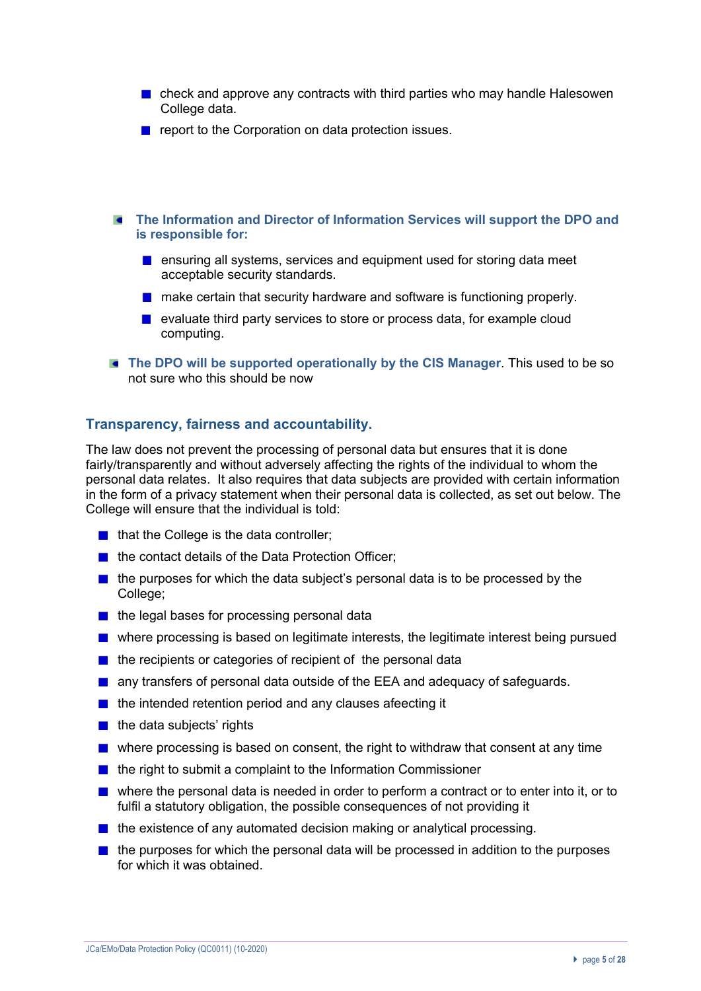- check and approve any contracts with third parties who may handle Halesowen College data.
- report to the Corporation on data protection issues.
- **The Information and Director of Information Services will support the DPO and is responsible for:** 
	- **E** ensuring all systems, services and equipment used for storing data meet acceptable security standards.
	- **n** make certain that security hardware and software is functioning properly.
	- evaluate third party services to store or process data, for example cloud computing.
- **The DPO will be supported operationally by the CIS Manager**. This used to be so not sure who this should be now

## **Transparency, fairness and accountability.**

The law does not prevent the processing of personal data but ensures that it is done fairly/transparently and without adversely affecting the rights of the individual to whom the personal data relates. It also requires that data subjects are provided with certain information in the form of a privacy statement when their personal data is collected, as set out below. The College will ensure that the individual is told:

- $\blacksquare$  that the College is the data controller:
- the contact details of the Data Protection Officer;
- $\blacksquare$  the purposes for which the data subject's personal data is to be processed by the College;
- $\blacksquare$  the legal bases for processing personal data
- **n** where processing is based on legitimate interests, the legitimate interest being pursued
- $\blacksquare$  the recipients or categories of recipient of the personal data
- **a** any transfers of personal data outside of the EEA and adequacy of safeguards.
- $\blacksquare$  the intended retention period and any clauses afeecting it
- $\blacksquare$  the data subjects' rights
- where processing is based on consent, the right to withdraw that consent at any time
- $\blacksquare$  the right to submit a complaint to the Information Commissioner
- where the personal data is needed in order to perform a contract or to enter into it, or to fulfil a statutory obligation, the possible consequences of not providing it
- $\blacksquare$  the existence of any automated decision making or analytical processing.
- $\blacksquare$  the purposes for which the personal data will be processed in addition to the purposes for which it was obtained.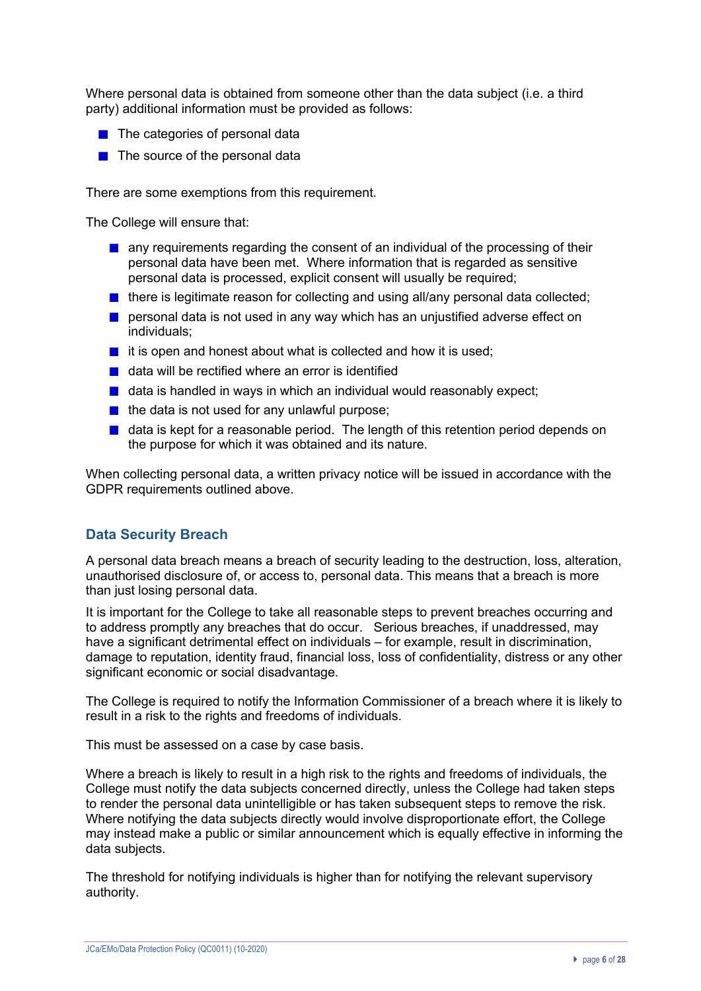Where personal data is obtained from someone other than the data subject (i.e. a third party) additional information must be provided as follows:

- $\blacksquare$  The categories of personal data
- $\blacksquare$  The source of the personal data

There are some exemptions from this requirement.

The College will ensure that:

- **a** any requirements regarding the consent of an individual of the processing of their personal data have been met. Where information that is regarded as sensitive personal data is processed, explicit consent will usually be required;
- $\blacksquare$  there is legitimate reason for collecting and using all/any personal data collected;
- **P** personal data is not used in any way which has an unjustified adverse effect on individuals;
- $\blacksquare$  it is open and honest about what is collected and how it is used:
- data will be rectified where an error is identified
- $\blacksquare$  data is handled in ways in which an individual would reasonably expect;
- $\blacksquare$  the data is not used for any unlawful purpose;
- $\blacksquare$  data is kept for a reasonable period. The length of this retention period depends on the purpose for which it was obtained and its nature.

When collecting personal data, a written privacy notice will be issued in accordance with the GDPR requirements outlined above.

## **Data Security Breach**

A personal data breach means a breach of security leading to the destruction, loss, alteration, unauthorised disclosure of, or access to, personal data. This means that a breach is more than just losing personal data.

It is important for the College to take all reasonable steps to prevent breaches occurring and to address promptly any breaches that do occur. Serious breaches, if unaddressed, may have a significant detrimental effect on individuals – for example, result in discrimination, damage to reputation, identity fraud, financial loss, loss of confidentiality, distress or any other significant economic or social disadvantage.

The College is required to notify the Information Commissioner of a breach where it is likely to result in a risk to the rights and freedoms of individuals.

This must be assessed on a case by case basis.

Where a breach is likely to result in a high risk to the rights and freedoms of individuals, the College must notify the data subjects concerned directly, unless the College had taken steps to render the personal data unintelligible or has taken subsequent steps to remove the risk. Where notifying the data subjects directly would involve disproportionate effort, the College may instead make a public or similar announcement which is equally effective in informing the data subjects.

The threshold for notifying individuals is higher than for notifying the relevant supervisory authority.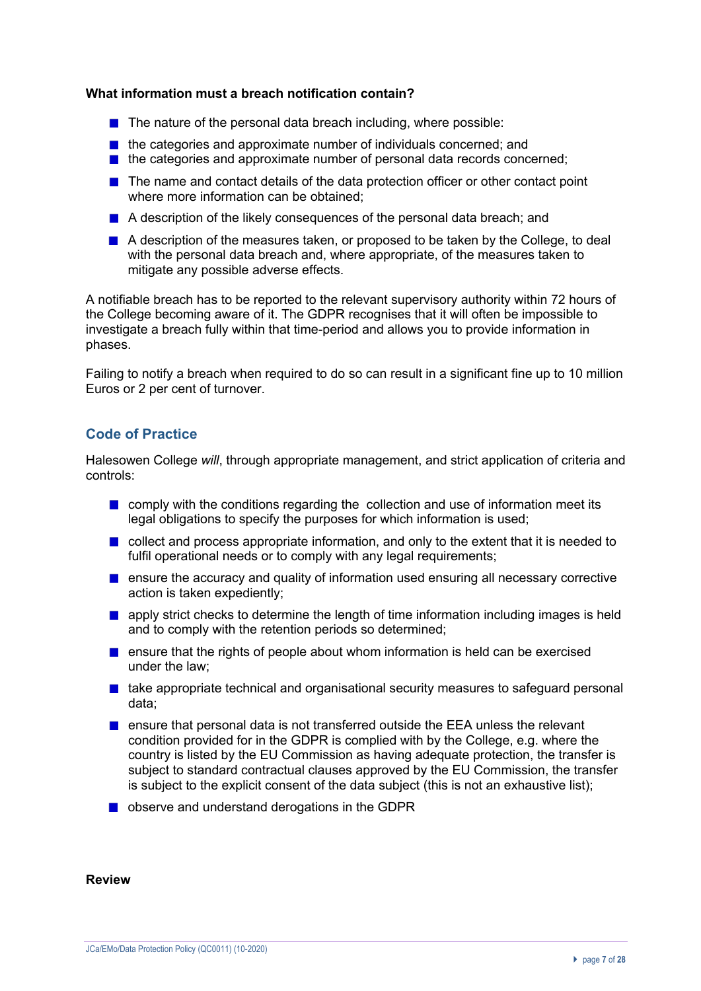#### **What information must a breach notification contain?**

- $\blacksquare$  The nature of the personal data breach including, where possible:
- $\blacksquare$  the categories and approximate number of individuals concerned; and
- $\blacksquare$  the categories and approximate number of personal data records concerned;
- The name and contact details of the data protection officer or other contact point where more information can be obtained;
- A description of the likely consequences of the personal data breach: and
- A description of the measures taken, or proposed to be taken by the College, to deal with the personal data breach and, where appropriate, of the measures taken to mitigate any possible adverse effects.

A notifiable breach has to be reported to the relevant supervisory authority within 72 hours of the College becoming aware of it. The GDPR recognises that it will often be impossible to investigate a breach fully within that time-period and allows you to provide information in phases.

Failing to notify a breach when required to do so can result in a significant fine up to 10 million Euros or 2 per cent of turnover.

## **Code of Practice**

Halesowen College *will*, through appropriate management, and strict application of criteria and controls:

- **n** comply with the conditions regarding the collection and use of information meet its legal obligations to specify the purposes for which information is used;
- **D** collect and process appropriate information, and only to the extent that it is needed to fulfil operational needs or to comply with any legal requirements;
- **E** ensure the accuracy and quality of information used ensuring all necessary corrective action is taken expediently;
- **a** apply strict checks to determine the length of time information including images is held and to comply with the retention periods so determined;
- **E** ensure that the rights of people about whom information is held can be exercised under the law;
- $\blacksquare$  take appropriate technical and organisational security measures to safeguard personal data;
- **E** ensure that personal data is not transferred outside the EEA unless the relevant condition provided for in the GDPR is complied with by the College, e.g. where the country is listed by the EU Commission as having adequate protection, the transfer is subject to standard contractual clauses approved by the EU Commission, the transfer is subject to the explicit consent of the data subject (this is not an exhaustive list);
- observe and understand derogations in the GDPR

**Review**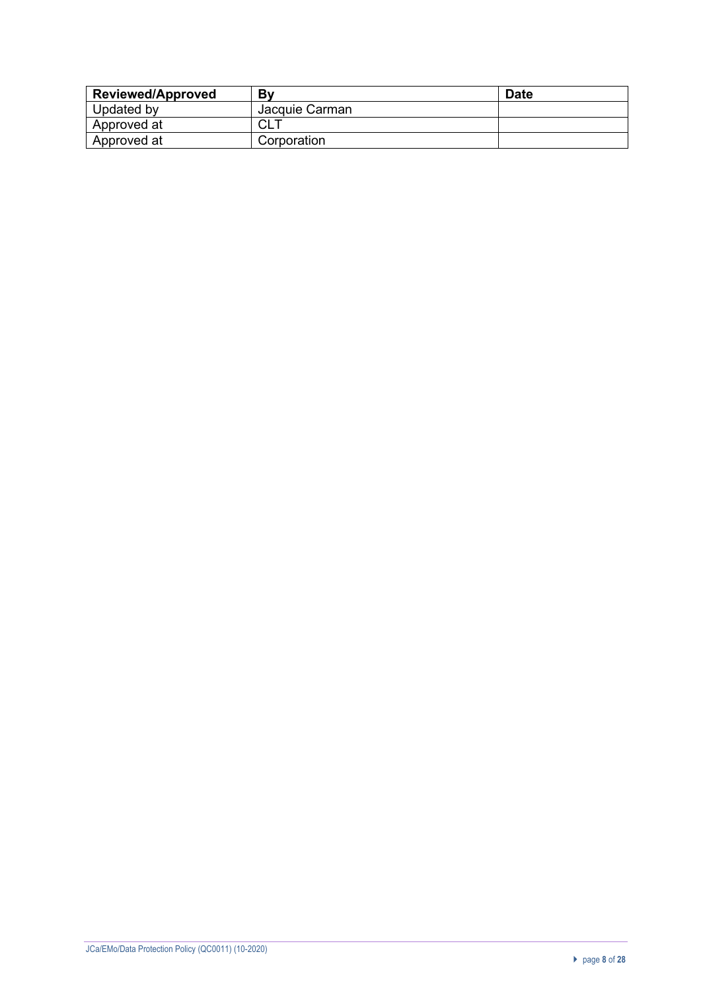| <b>Reviewed/Approved</b> | Bv             | <b>Date</b> |
|--------------------------|----------------|-------------|
| Updated by               | Jacquie Carman |             |
| Approved at              | rι<br>◡∟       |             |
| Approved at              | Corporation    |             |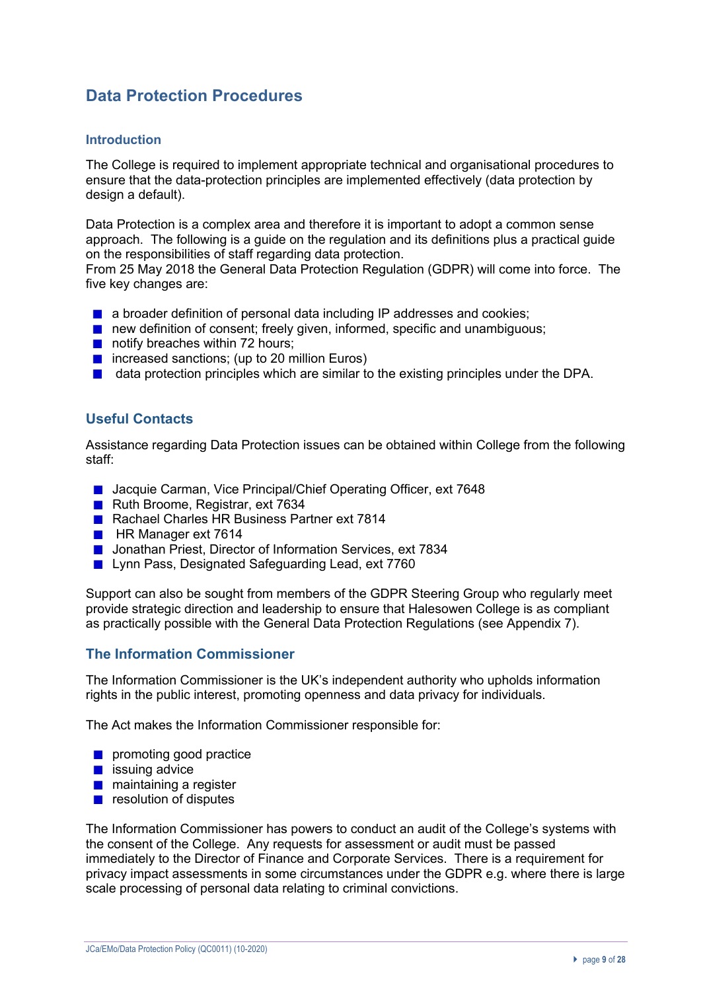## **Data Protection Procedures**

#### **Introduction**

The College is required to implement appropriate technical and organisational procedures to ensure that the data-protection principles are implemented effectively (data protection by design a default).

Data Protection is a complex area and therefore it is important to adopt a common sense approach. The following is a guide on the regulation and its definitions plus a practical guide on the responsibilities of staff regarding data protection.

From 25 May 2018 the General Data Protection Regulation (GDPR) will come into force. The five key changes are:

- **a** a broader definition of personal data including IP addresses and cookies;
- new definition of consent; freely given, informed, specific and unambiguous;
- notify breaches within 72 hours:
- $\blacksquare$  increased sanctions; (up to 20 million Euros)
- $\blacksquare$  data protection principles which are similar to the existing principles under the DPA.

## **Useful Contacts**

Assistance regarding Data Protection issues can be obtained within College from the following staff:

- Jacquie Carman, Vice Principal/Chief Operating Officer, ext 7648
- Ruth Broome, Registrar, ext 7634
- Rachael Charles HR Business Partner ext 7814
- **HR Manager ext 7614**
- **Jonathan Priest, Director of Information Services, ext 7834**
- **Lynn Pass, Designated Safeguarding Lead, ext 7760**

Support can also be sought from members of the GDPR Steering Group who regularly meet provide strategic direction and leadership to ensure that Halesowen College is as compliant as practically possible with the General Data Protection Regulations (see Appendix 7).

## **The Information Commissioner**

The Information Commissioner is the UK's independent authority who upholds information rights in the public interest, promoting openness and data privacy for individuals.

The Act makes the Information Commissioner responsible for:

- promoting good practice
- $\blacksquare$  issuing advice
- **n** maintaining a register
- $\blacksquare$  resolution of disputes

The Information Commissioner has powers to conduct an audit of the College's systems with the consent of the College. Any requests for assessment or audit must be passed immediately to the Director of Finance and Corporate Services. There is a requirement for privacy impact assessments in some circumstances under the GDPR e.g. where there is large scale processing of personal data relating to criminal convictions.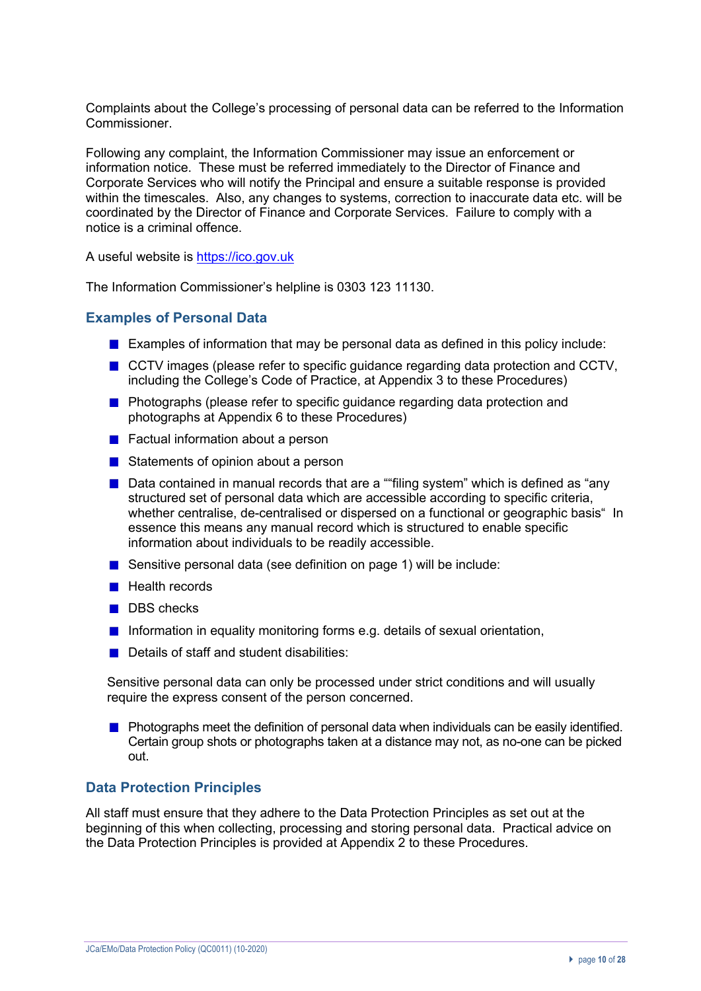Complaints about the College's processing of personal data can be referred to the Information Commissioner.

Following any complaint, the Information Commissioner may issue an enforcement or information notice. These must be referred immediately to the Director of Finance and Corporate Services who will notify the Principal and ensure a suitable response is provided within the timescales. Also, any changes to systems, correction to inaccurate data etc. will be coordinated by the Director of Finance and Corporate Services. Failure to comply with a notice is a criminal offence.

A useful website is https://ico.gov.uk

The Information Commissioner's helpline is 0303 123 11130.

## **Examples of Personal Data**

- **Examples of information that may be personal data as defined in this policy include:**
- CCTV images (please refer to specific guidance regarding data protection and CCTV, including the College's Code of Practice, at Appendix 3 to these Procedures)
- **Photographs (please refer to specific guidance regarding data protection and** photographs at Appendix 6 to these Procedures)
- Factual information about a person
- Statements of opinion about a person
- Data contained in manual records that are a ""filing system" which is defined as "any structured set of personal data which are accessible according to specific criteria, whether centralise, de-centralised or dispersed on a functional or geographic basis" In essence this means any manual record which is structured to enable specific information about individuals to be readily accessible.
- Sensitive personal data (see definition on page 1) will be include:
- $\blacksquare$  Health records
- DBS checks
- **Information in equality monitoring forms e.g. details of sexual orientation,**
- Details of staff and student disabilities:

Sensitive personal data can only be processed under strict conditions and will usually require the express consent of the person concerned.

**Photographs meet the definition of personal data when individuals can be easily identified.** Certain group shots or photographs taken at a distance may not, as no-one can be picked out.

### **Data Protection Principles**

All staff must ensure that they adhere to the Data Protection Principles as set out at the beginning of this when collecting, processing and storing personal data. Practical advice on the Data Protection Principles is provided at Appendix 2 to these Procedures.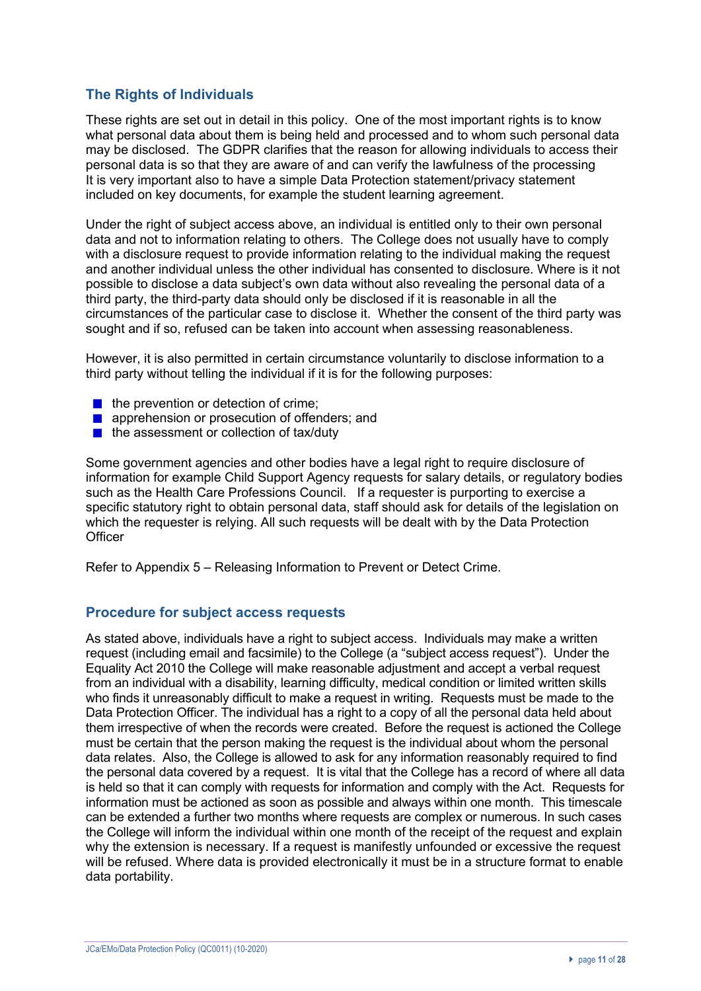## **The Rights of Individuals**

These rights are set out in detail in this policy. One of the most important rights is to know what personal data about them is being held and processed and to whom such personal data may be disclosed. The GDPR clarifies that the reason for allowing individuals to access their personal data is so that they are aware of and can verify the lawfulness of the processing It is very important also to have a simple Data Protection statement/privacy statement included on key documents, for example the student learning agreement.

Under the right of subject access above, an individual is entitled only to their own personal data and not to information relating to others. The College does not usually have to comply with a disclosure request to provide information relating to the individual making the request and another individual unless the other individual has consented to disclosure. Where is it not possible to disclose a data subject's own data without also revealing the personal data of a third party, the third-party data should only be disclosed if it is reasonable in all the circumstances of the particular case to disclose it. Whether the consent of the third party was sought and if so, refused can be taken into account when assessing reasonableness.

However, it is also permitted in certain circumstance voluntarily to disclose information to a third party without telling the individual if it is for the following purposes:

- $\blacksquare$  the prevention or detection of crime;
- **apprehension or prosecution of offenders; and**
- $\blacksquare$  the assessment or collection of tax/duty

Some government agencies and other bodies have a legal right to require disclosure of information for example Child Support Agency requests for salary details, or regulatory bodies such as the Health Care Professions Council. If a requester is purporting to exercise a specific statutory right to obtain personal data, staff should ask for details of the legislation on which the requester is relying. All such requests will be dealt with by the Data Protection **Officer** 

Refer to Appendix 5 – Releasing Information to Prevent or Detect Crime.

### **Procedure for subject access requests**

As stated above, individuals have a right to subject access. Individuals may make a written request (including email and facsimile) to the College (a "subject access request"). Under the Equality Act 2010 the College will make reasonable adjustment and accept a verbal request from an individual with a disability, learning difficulty, medical condition or limited written skills who finds it unreasonably difficult to make a request in writing. Requests must be made to the Data Protection Officer. The individual has a right to a copy of all the personal data held about them irrespective of when the records were created. Before the request is actioned the College must be certain that the person making the request is the individual about whom the personal data relates. Also, the College is allowed to ask for any information reasonably required to find the personal data covered by a request. It is vital that the College has a record of where all data is held so that it can comply with requests for information and comply with the Act. Requests for information must be actioned as soon as possible and always within one month. This timescale can be extended a further two months where requests are complex or numerous. In such cases the College will inform the individual within one month of the receipt of the request and explain why the extension is necessary. If a request is manifestly unfounded or excessive the request will be refused. Where data is provided electronically it must be in a structure format to enable data portability.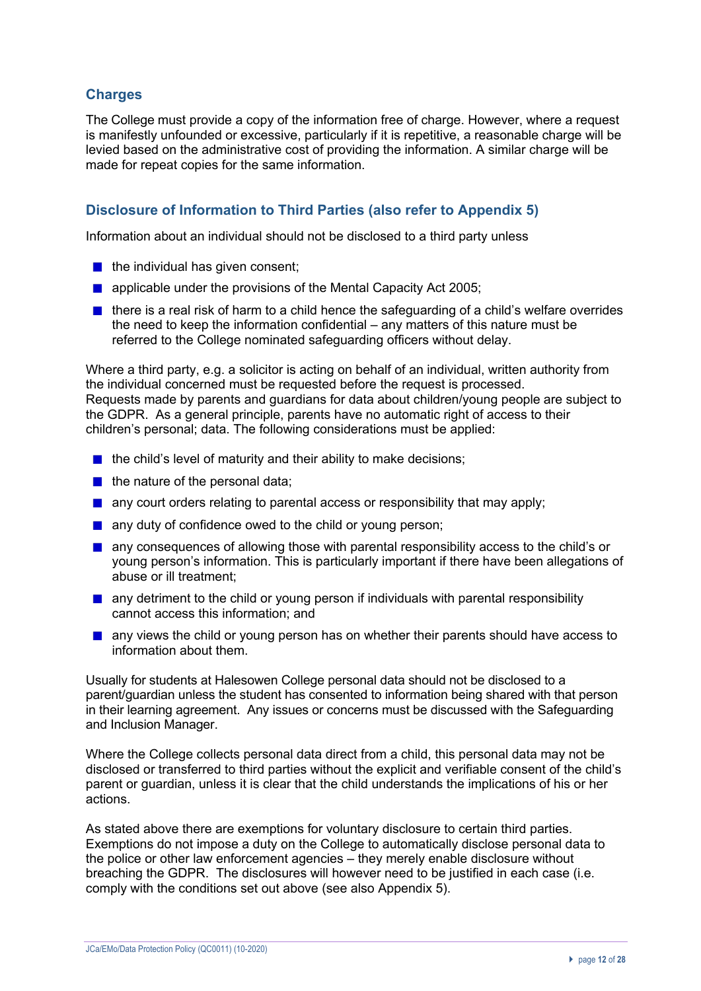## **Charges**

The College must provide a copy of the information free of charge. However, where a request is manifestly unfounded or excessive, particularly if it is repetitive, a reasonable charge will be levied based on the administrative cost of providing the information. A similar charge will be made for repeat copies for the same information.

## **Disclosure of Information to Third Parties (also refer to Appendix 5)**

Information about an individual should not be disclosed to a third party unless

- $\blacksquare$  the individual has given consent;
- **a** applicable under the provisions of the Mental Capacity Act 2005;
- $\blacksquare$  there is a real risk of harm to a child hence the safeguarding of a child's welfare overrides the need to keep the information confidential – any matters of this nature must be referred to the College nominated safeguarding officers without delay.

Where a third party, e.g. a solicitor is acting on behalf of an individual, written authority from the individual concerned must be requested before the request is processed. Requests made by parents and guardians for data about children/young people are subject to the GDPR. As a general principle, parents have no automatic right of access to their children's personal; data. The following considerations must be applied:

- $\blacksquare$  the child's level of maturity and their ability to make decisions;
- $\blacksquare$  the nature of the personal data;
- **a** any court orders relating to parental access or responsibility that may apply;
- any duty of confidence owed to the child or young person;
- **a** any consequences of allowing those with parental responsibility access to the child's or young person's information. This is particularly important if there have been allegations of abuse or ill treatment;
- $\blacksquare$  any detriment to the child or young person if individuals with parental responsibility cannot access this information; and
- **a** any views the child or young person has on whether their parents should have access to information about them.

Usually for students at Halesowen College personal data should not be disclosed to a parent/guardian unless the student has consented to information being shared with that person in their learning agreement. Any issues or concerns must be discussed with the Safeguarding and Inclusion Manager.

Where the College collects personal data direct from a child, this personal data may not be disclosed or transferred to third parties without the explicit and verifiable consent of the child's parent or guardian, unless it is clear that the child understands the implications of his or her actions.

As stated above there are exemptions for voluntary disclosure to certain third parties. Exemptions do not impose a duty on the College to automatically disclose personal data to the police or other law enforcement agencies – they merely enable disclosure without breaching the GDPR. The disclosures will however need to be justified in each case (i.e. comply with the conditions set out above (see also Appendix 5).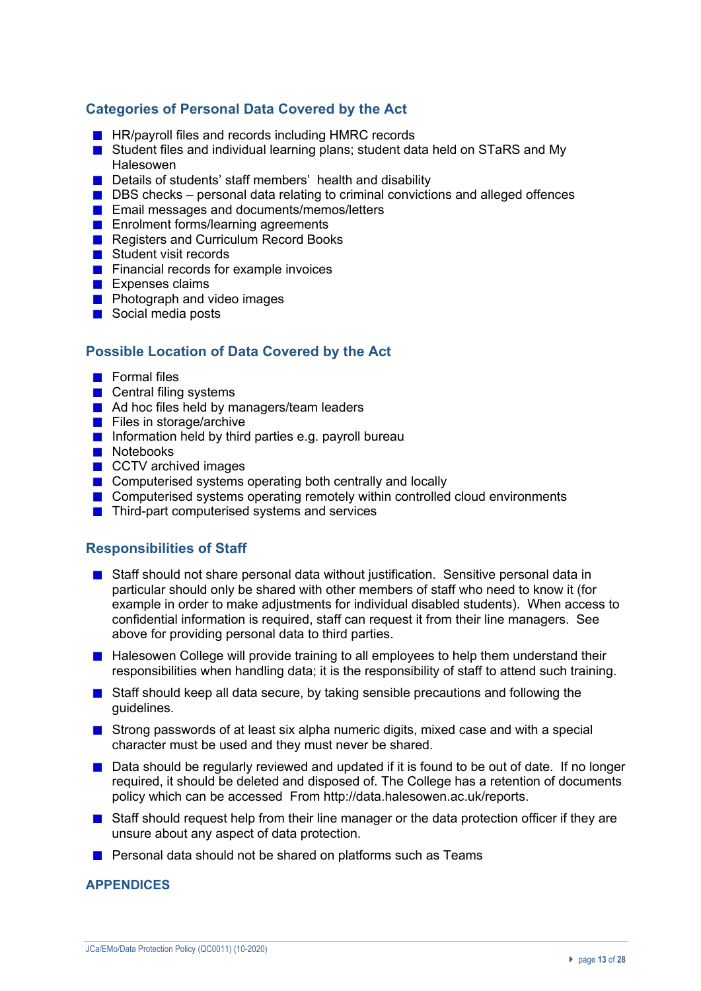## **Categories of Personal Data Covered by the Act**

- **HR/payroll files and records including HMRC records**
- Student files and individual learning plans; student data held on STaRS and My Halesowen
- Details of students' staff members' health and disability
- $\blacksquare$  DBS checks personal data relating to criminal convictions and alleged offences
- **Email messages and documents/memos/letters**
- **Enrolment forms/learning agreements**
- Registers and Curriculum Record Books
- Student visit records
- **Financial records for example invoices**
- **Expenses claims**
- **Photograph and video images**
- Social media posts

## **Possible Location of Data Covered by the Act**

- **Formal files**
- **■** Central filing systems
- Ad hoc files held by managers/team leaders
- $\blacksquare$  Files in storage/archive
- Information held by third parties e.g. payroll bureau
- **Notebooks**
- **CCTV archived images**
- Computerised systems operating both centrally and locally
- Computerised systems operating remotely within controlled cloud environments
- **■** Third-part computerised systems and services

## **Responsibilities of Staff**

- **Staff should not share personal data without justification. Sensitive personal data in** particular should only be shared with other members of staff who need to know it (for example in order to make adjustments for individual disabled students). When access to confidential information is required, staff can request it from their line managers. See above for providing personal data to third parties.
- Halesowen College will provide training to all employees to help them understand their responsibilities when handling data; it is the responsibility of staff to attend such training.
- Staff should keep all data secure, by taking sensible precautions and following the guidelines.
- **Strong passwords of at least six alpha numeric digits, mixed case and with a special** character must be used and they must never be shared.
- $\Box$  Data should be regularly reviewed and updated if it is found to be out of date. If no longer required, it should be deleted and disposed of. The College has a retention of documents policy which can be accessed From http://data.halesowen.ac.uk/reports.
- **Staff should request help from their line manager or the data protection officer if they are** unsure about any aspect of data protection.
- **Personal data should not be shared on platforms such as Teams**

### **APPENDICES**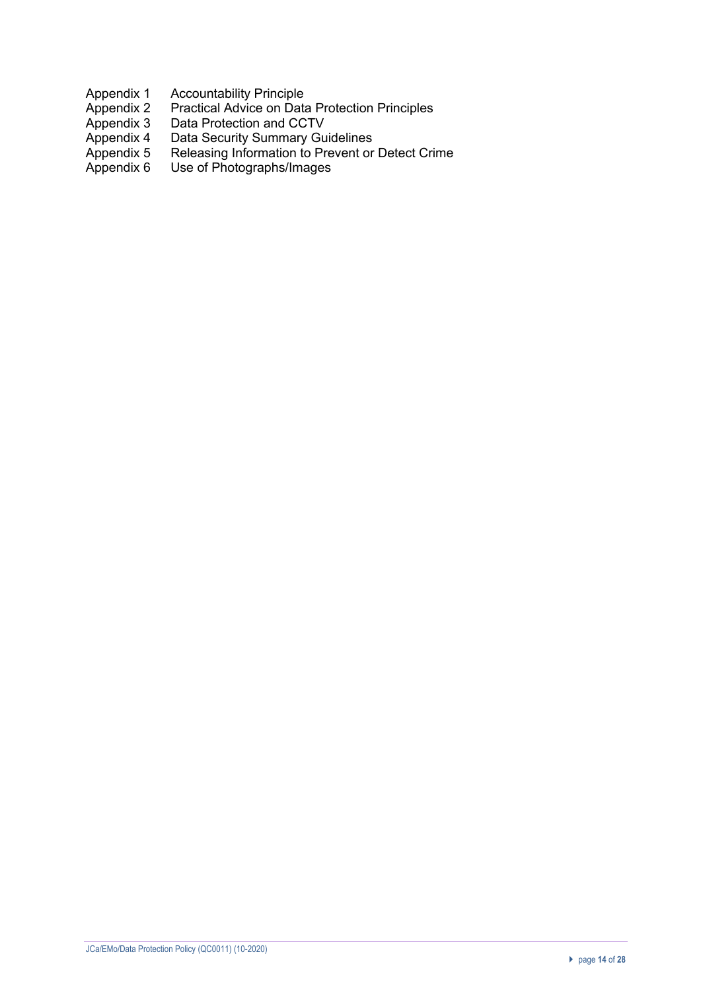- 
- Appendix 1 Accountability Principle<br>Appendix 2 Practical Advice on Data Appendix 2 Practical Advice on Data Protection Principles<br>Appendix 3 Data Protection and CCTV
- 
- Appendix 3 Data Protection and CCTV<br>Appendix 4 Data Security Summary Gu Appendix 4 Data Security Summary Guidelines
- Appendix 5 Releasing Information to Prevent or Detect Crime
- Appendix 6 Use of Photographs/Images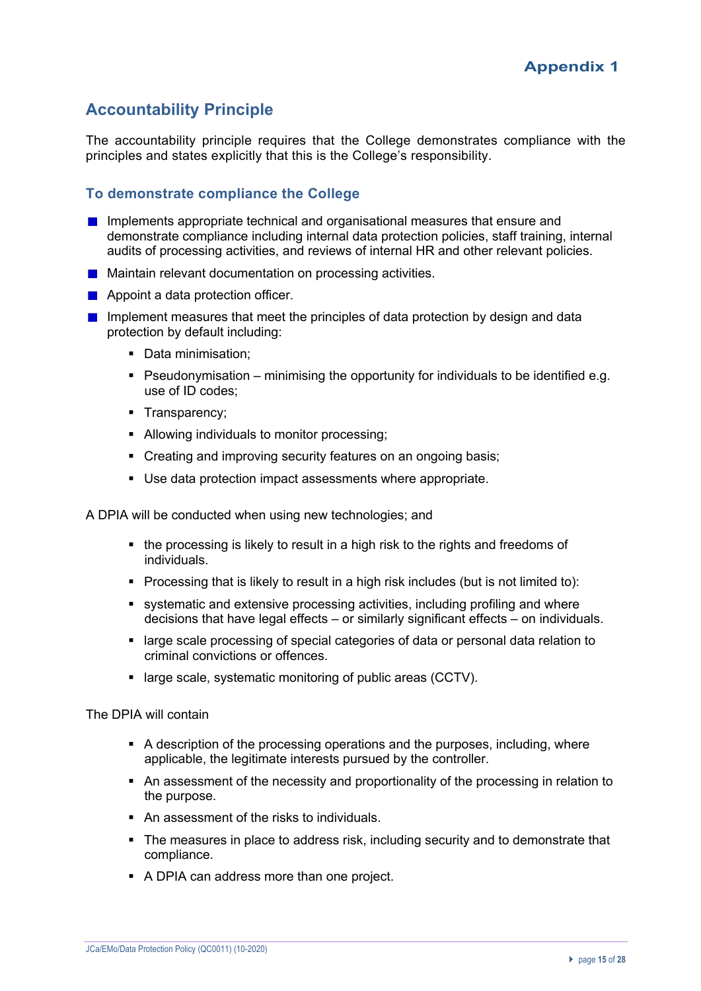## **Accountability Principle**

The accountability principle requires that the College demonstrates compliance with the principles and states explicitly that this is the College's responsibility.

## **To demonstrate compliance the College**

- **Implements appropriate technical and organisational measures that ensure and** demonstrate compliance including internal data protection policies, staff training, internal audits of processing activities, and reviews of internal HR and other relevant policies.
- **Maintain relevant documentation on processing activities.**
- **Appoint a data protection officer.**
- Implement measures that meet the principles of data protection by design and data protection by default including:
	- Data minimisation:
	- Pseudonymisation minimising the opportunity for individuals to be identified e.g. use of ID codes;
	- § Transparency;
	- § Allowing individuals to monitor processing;
	- Creating and improving security features on an ongoing basis;
	- Use data protection impact assessments where appropriate.

A DPIA will be conducted when using new technologies; and

- the processing is likely to result in a high risk to the rights and freedoms of individuals.
- Processing that is likely to result in a high risk includes (but is not limited to):
- § systematic and extensive processing activities, including profiling and where decisions that have legal effects – or similarly significant effects – on individuals.
- § large scale processing of special categories of data or personal data relation to criminal convictions or offences.
- large scale, systematic monitoring of public areas (CCTV).

The DPIA will contain

- § A description of the processing operations and the purposes, including, where applicable, the legitimate interests pursued by the controller.
- An assessment of the necessity and proportionality of the processing in relation to the purpose.
- An assessment of the risks to individuals.
- The measures in place to address risk, including security and to demonstrate that compliance.
- A DPIA can address more than one project.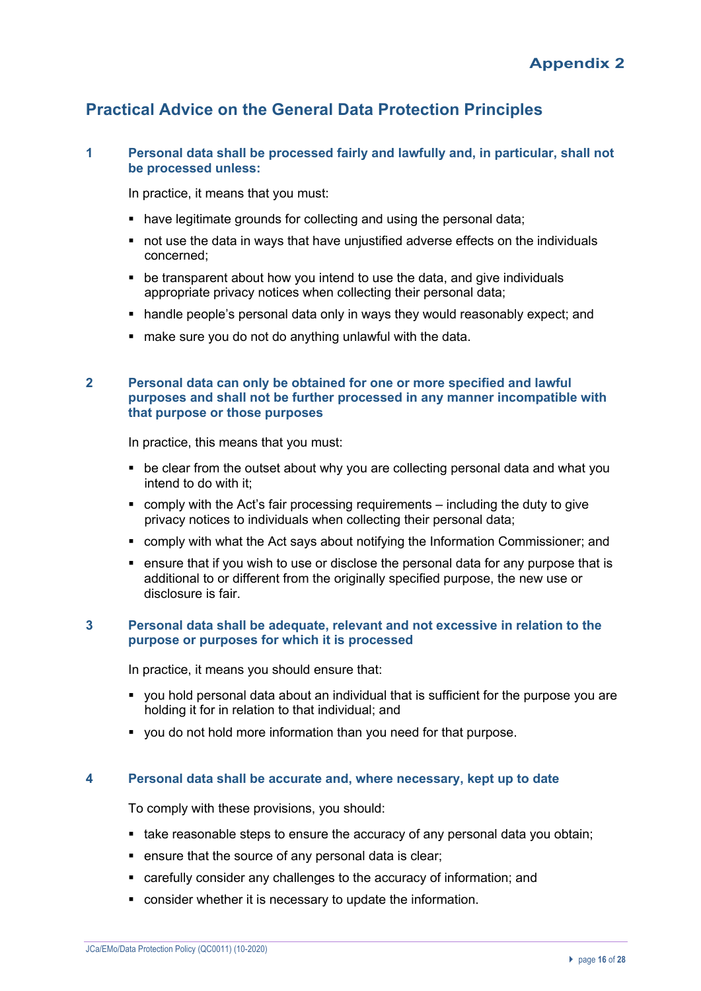## **Practical Advice on the General Data Protection Principles**

### **1 Personal data shall be processed fairly and lawfully and, in particular, shall not be processed unless:**

In practice, it means that you must:

- have legitimate grounds for collecting and using the personal data;
- not use the data in ways that have unjustified adverse effects on the individuals concerned;
- be transparent about how you intend to use the data, and give individuals appropriate privacy notices when collecting their personal data;
- handle people's personal data only in ways they would reasonably expect; and
- make sure you do not do anything unlawful with the data.

### **2 Personal data can only be obtained for one or more specified and lawful purposes and shall not be further processed in any manner incompatible with that purpose or those purposes**

In practice, this means that you must:

- be clear from the outset about why you are collecting personal data and what you intend to do with it;
- comply with the Act's fair processing requirements including the duty to give privacy notices to individuals when collecting their personal data;
- § comply with what the Act says about notifying the Information Commissioner; and
- ensure that if you wish to use or disclose the personal data for any purpose that is additional to or different from the originally specified purpose, the new use or disclosure is fair.

#### **3 Personal data shall be adequate, relevant and not excessive in relation to the purpose or purposes for which it is processed**

In practice, it means you should ensure that:

- you hold personal data about an individual that is sufficient for the purpose you are holding it for in relation to that individual; and
- § you do not hold more information than you need for that purpose.

### **4 Personal data shall be accurate and, where necessary, kept up to date**

To comply with these provisions, you should:

- take reasonable steps to ensure the accuracy of any personal data you obtain;
- ensure that the source of any personal data is clear;
- carefully consider any challenges to the accuracy of information; and
- consider whether it is necessary to update the information.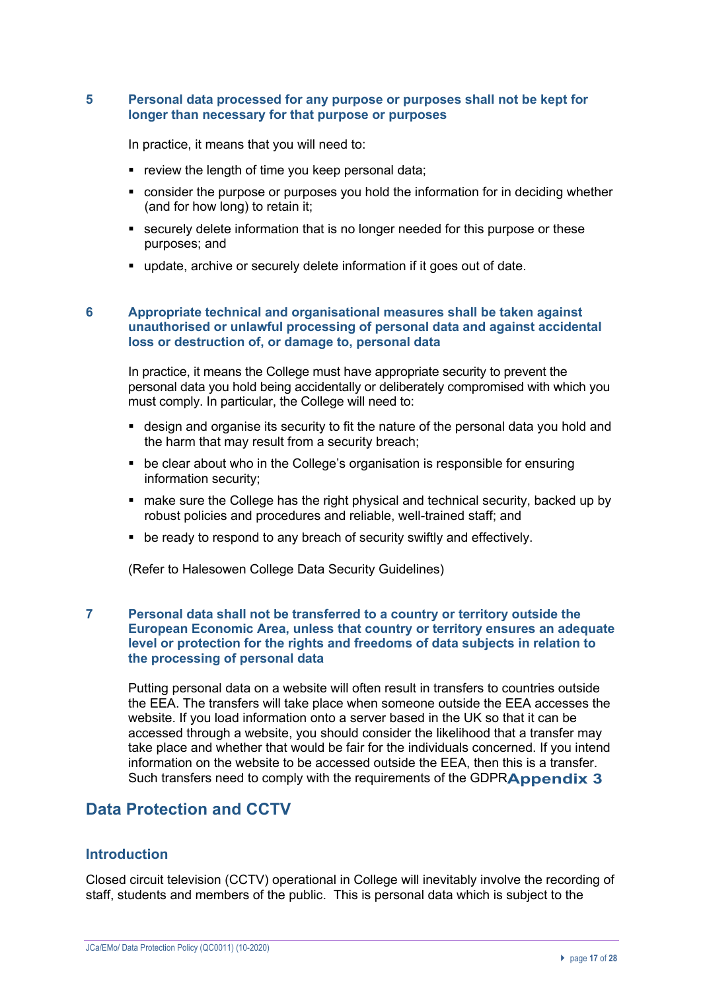#### **5 Personal data processed for any purpose or purposes shall not be kept for longer than necessary for that purpose or purposes**

In practice, it means that you will need to:

- **•** review the length of time you keep personal data;
- consider the purpose or purposes you hold the information for in deciding whether (and for how long) to retain it;
- securely delete information that is no longer needed for this purpose or these purposes; and
- update, archive or securely delete information if it goes out of date.

#### **6 Appropriate technical and organisational measures shall be taken against unauthorised or unlawful processing of personal data and against accidental loss or destruction of, or damage to, personal data**

In practice, it means the College must have appropriate security to prevent the personal data you hold being accidentally or deliberately compromised with which you must comply. In particular, the College will need to:

- design and organise its security to fit the nature of the personal data you hold and the harm that may result from a security breach;
- be clear about who in the College's organisation is responsible for ensuring information security;
- make sure the College has the right physical and technical security, backed up by robust policies and procedures and reliable, well-trained staff; and
- be ready to respond to any breach of security swiftly and effectively.

(Refer to Halesowen College Data Security Guidelines)

#### **7 Personal data shall not be transferred to a country or territory outside the European Economic Area, unless that country or territory ensures an adequate level or protection for the rights and freedoms of data subjects in relation to the processing of personal data**

Putting personal data on a website will often result in transfers to countries outside the EEA. The transfers will take place when someone outside the EEA accesses the website. If you load information onto a server based in the UK so that it can be accessed through a website, you should consider the likelihood that a transfer may take place and whether that would be fair for the individuals concerned. If you intend information on the website to be accessed outside the EEA, then this is a transfer. Such transfers need to comply with the requirements of the GDPRAppendix 3

## **Data Protection and CCTV**

#### **Introduction**

Closed circuit television (CCTV) operational in College will inevitably involve the recording of staff, students and members of the public. This is personal data which is subject to the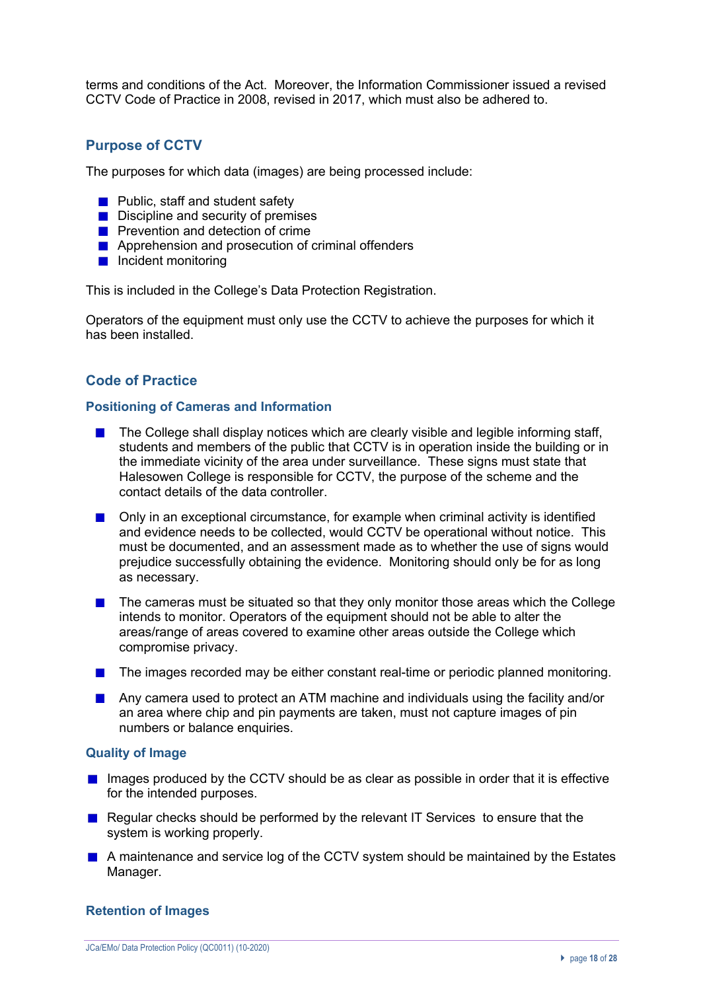terms and conditions of the Act. Moreover, the Information Commissioner issued a revised CCTV Code of Practice in 2008, revised in 2017, which must also be adhered to.

## **Purpose of CCTV**

The purposes for which data (images) are being processed include:

- $\blacksquare$  Public, staff and student safety
- $\blacksquare$  Discipline and security of premises
- **Prevention and detection of crime**
- **Apprehension and prosecution of criminal offenders**
- **Incident monitoring**

This is included in the College's Data Protection Registration.

Operators of the equipment must only use the CCTV to achieve the purposes for which it has been installed.

## **Code of Practice**

#### **Positioning of Cameras and Information**

- The College shall display notices which are clearly visible and legible informing staff, students and members of the public that CCTV is in operation inside the building or in the immediate vicinity of the area under surveillance. These signs must state that Halesowen College is responsible for CCTV, the purpose of the scheme and the contact details of the data controller.
- Only in an exceptional circumstance, for example when criminal activity is identified and evidence needs to be collected, would CCTV be operational without notice. This must be documented, and an assessment made as to whether the use of signs would prejudice successfully obtaining the evidence. Monitoring should only be for as long as necessary.
- $\blacksquare$  The cameras must be situated so that they only monitor those areas which the College intends to monitor. Operators of the equipment should not be able to alter the areas/range of areas covered to examine other areas outside the College which compromise privacy.
- The images recorded may be either constant real-time or periodic planned monitoring.
- Any camera used to protect an ATM machine and individuals using the facility and/or an area where chip and pin payments are taken, must not capture images of pin numbers or balance enquiries.

#### **Quality of Image**

- $\blacksquare$  Images produced by the CCTV should be as clear as possible in order that it is effective for the intended purposes.
- Regular checks should be performed by the relevant IT Services to ensure that the system is working properly.
- A maintenance and service log of the CCTV system should be maintained by the Estates Manager.

#### **Retention of Images**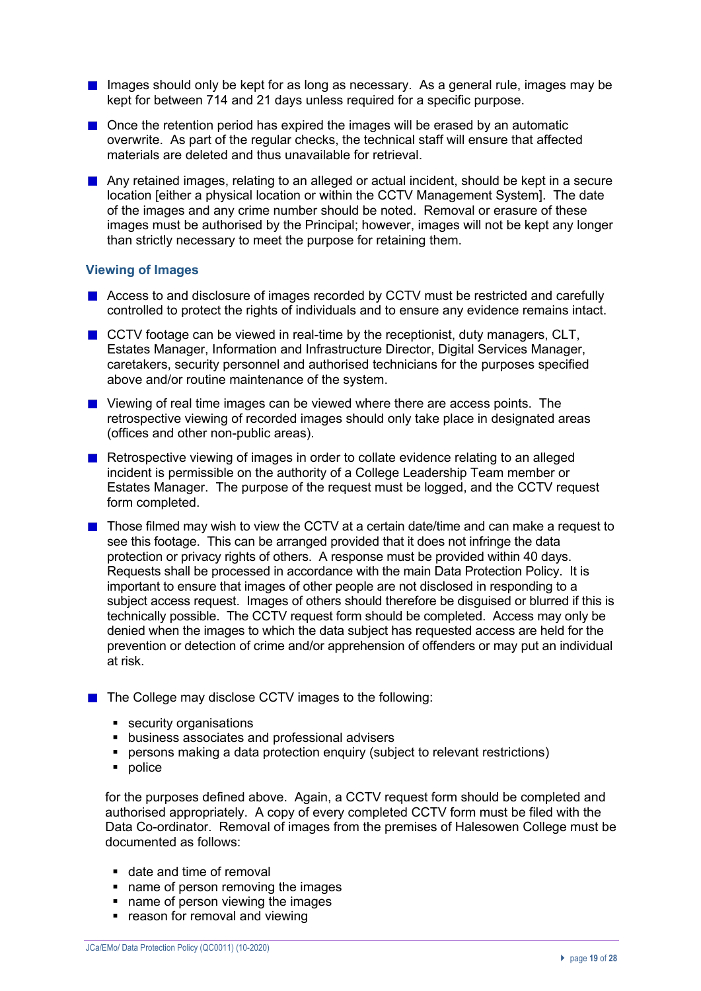- Images should only be kept for as long as necessary. As a general rule, images may be kept for between 714 and 21 days unless required for a specific purpose.
- $\blacksquare$  Once the retention period has expired the images will be erased by an automatic overwrite. As part of the regular checks, the technical staff will ensure that affected materials are deleted and thus unavailable for retrieval.
- **Any retained images, relating to an alleged or actual incident, should be kept in a secure** location [either a physical location or within the CCTV Management System]. The date of the images and any crime number should be noted. Removal or erasure of these images must be authorised by the Principal; however, images will not be kept any longer than strictly necessary to meet the purpose for retaining them.

#### **Viewing of Images**

- Access to and disclosure of images recorded by CCTV must be restricted and carefully controlled to protect the rights of individuals and to ensure any evidence remains intact.
- $\blacksquare$  CCTV footage can be viewed in real-time by the receptionist, duty managers, CLT, Estates Manager, Information and Infrastructure Director, Digital Services Manager, caretakers, security personnel and authorised technicians for the purposes specified above and/or routine maintenance of the system.
- **Note 2** Viewing of real time images can be viewed where there are access points. The retrospective viewing of recorded images should only take place in designated areas (offices and other non-public areas).
- Retrospective viewing of images in order to collate evidence relating to an alleged incident is permissible on the authority of a College Leadership Team member or Estates Manager. The purpose of the request must be logged, and the CCTV request form completed.
- $\blacksquare$  Those filmed may wish to view the CCTV at a certain date/time and can make a request to see this footage. This can be arranged provided that it does not infringe the data protection or privacy rights of others. A response must be provided within 40 days. Requests shall be processed in accordance with the main Data Protection Policy. It is important to ensure that images of other people are not disclosed in responding to a subject access request. Images of others should therefore be disguised or blurred if this is technically possible. The CCTV request form should be completed. Access may only be denied when the images to which the data subject has requested access are held for the prevention or detection of crime and/or apprehension of offenders or may put an individual at risk.
- The College may disclose CCTV images to the following:
	- security organisations
	- § business associates and professional advisers
	- persons making a data protection enquiry (subject to relevant restrictions)
	- police

for the purposes defined above. Again, a CCTV request form should be completed and authorised appropriately. A copy of every completed CCTV form must be filed with the Data Co-ordinator. Removal of images from the premises of Halesowen College must be documented as follows:

- date and time of removal
- name of person removing the images
- name of person viewing the images
- reason for removal and viewing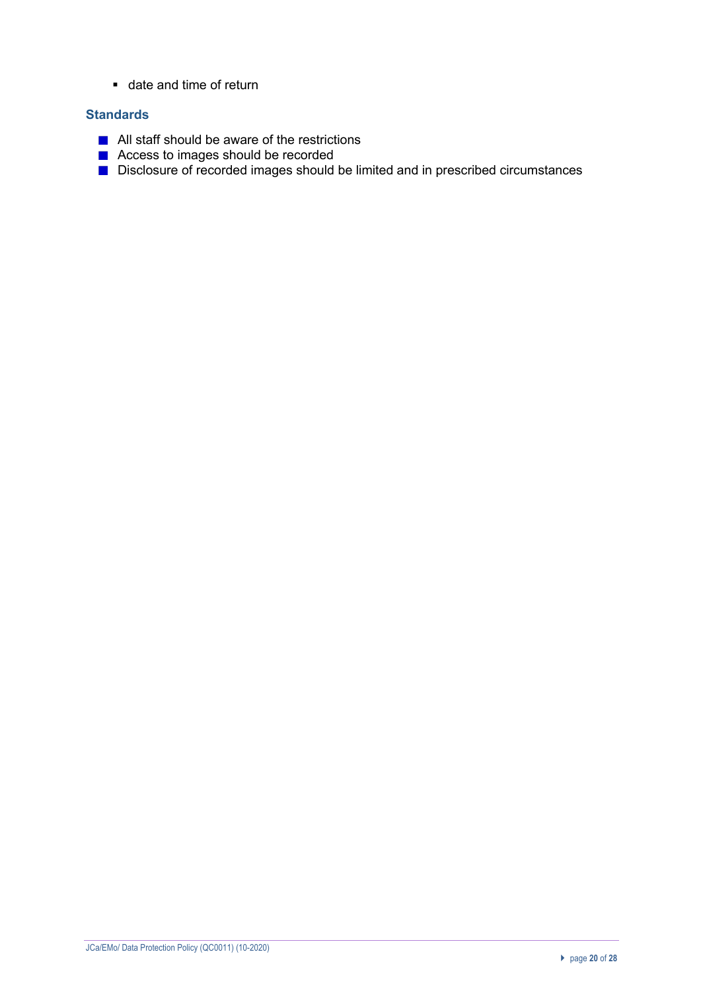■ date and time of return

### **Standards**

- All staff should be aware of the restrictions
- Access to images should be recorded
- Disclosure of recorded images should be limited and in prescribed circumstances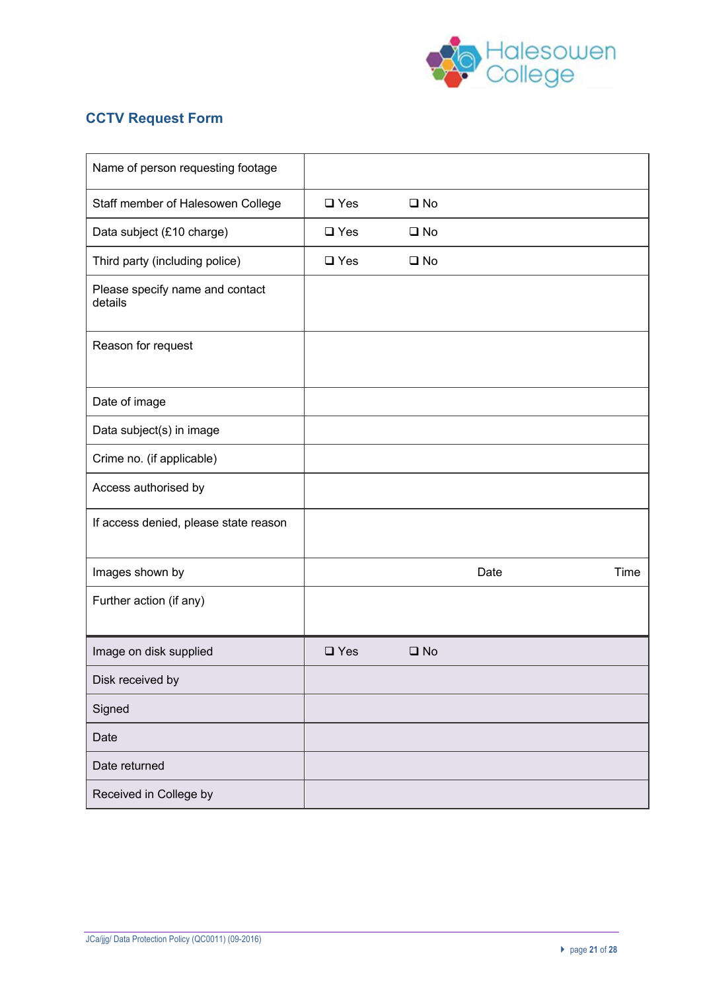

## **CCTV Request Form**

| Name of person requesting footage          |               |              |      |      |
|--------------------------------------------|---------------|--------------|------|------|
| Staff member of Halesowen College          | $\square$ Yes | $\square$ No |      |      |
| Data subject (£10 charge)                  | $\square$ Yes | $\square$ No |      |      |
| Third party (including police)             | $\square$ Yes | $\square$ No |      |      |
| Please specify name and contact<br>details |               |              |      |      |
| Reason for request                         |               |              |      |      |
| Date of image                              |               |              |      |      |
| Data subject(s) in image                   |               |              |      |      |
| Crime no. (if applicable)                  |               |              |      |      |
| Access authorised by                       |               |              |      |      |
| If access denied, please state reason      |               |              |      |      |
| Images shown by                            |               |              | Date | Time |
| Further action (if any)                    |               |              |      |      |
| Image on disk supplied                     | $\square$ Yes | $\square$ No |      |      |
| Disk received by                           |               |              |      |      |
| Signed                                     |               |              |      |      |
| Date                                       |               |              |      |      |
| Date returned                              |               |              |      |      |
| Received in College by                     |               |              |      |      |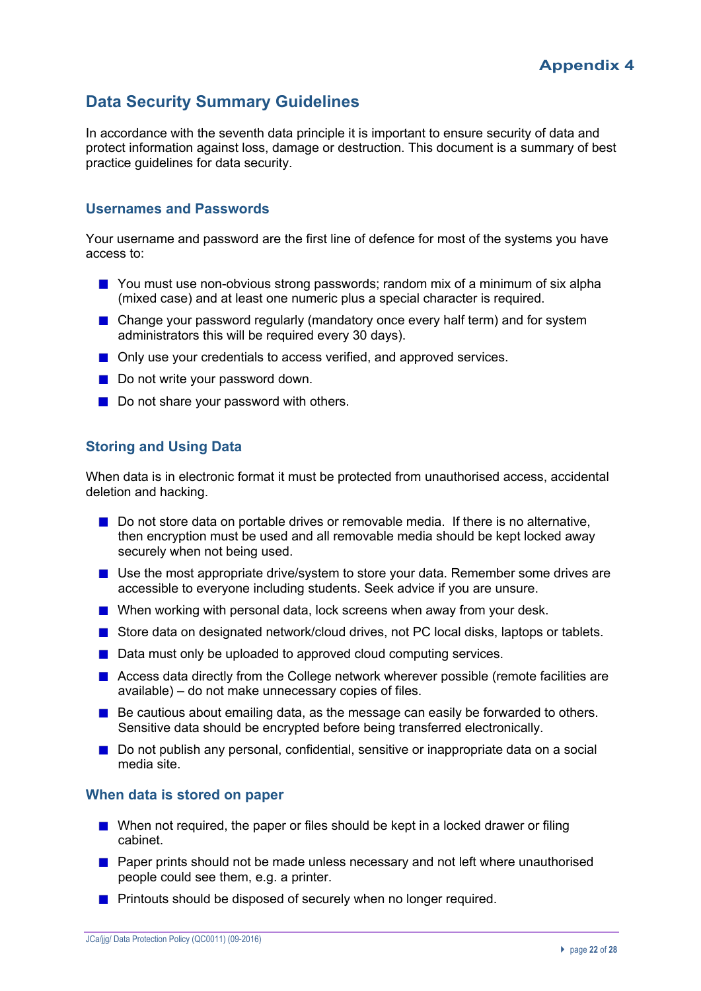## **Data Security Summary Guidelines**

In accordance with the seventh data principle it is important to ensure security of data and protect information against loss, damage or destruction. This document is a summary of best practice guidelines for data security.

### **Usernames and Passwords**

Your username and password are the first line of defence for most of the systems you have access to:

- You must use non-obvious strong passwords; random mix of a minimum of six alpha (mixed case) and at least one numeric plus a special character is required.
- Change your password regularly (mandatory once every half term) and for system administrators this will be required every 30 days).
- Only use your credentials to access verified, and approved services.
- Do not write your password down.
- Do not share your password with others.

## **Storing and Using Data**

When data is in electronic format it must be protected from unauthorised access, accidental deletion and hacking.

- Do not store data on portable drives or removable media. If there is no alternative, then encryption must be used and all removable media should be kept locked away securely when not being used.
- Use the most appropriate drive/system to store your data. Remember some drives are accessible to everyone including students. Seek advice if you are unsure.
- When working with personal data, lock screens when away from your desk.
- Store data on designated network/cloud drives, not PC local disks, laptops or tablets.
- Data must only be uploaded to approved cloud computing services.
- Access data directly from the College network wherever possible (remote facilities are available) – do not make unnecessary copies of files.
- $\blacksquare$  Be cautious about emailing data, as the message can easily be forwarded to others. Sensitive data should be encrypted before being transferred electronically.
- Do not publish any personal, confidential, sensitive or inappropriate data on a social media site.

#### **When data is stored on paper**

- When not required, the paper or files should be kept in a locked drawer or filing cabinet.
- **Paper prints should not be made unless necessary and not left where unauthorised** people could see them, e.g. a printer.
- **Printouts should be disposed of securely when no longer required.**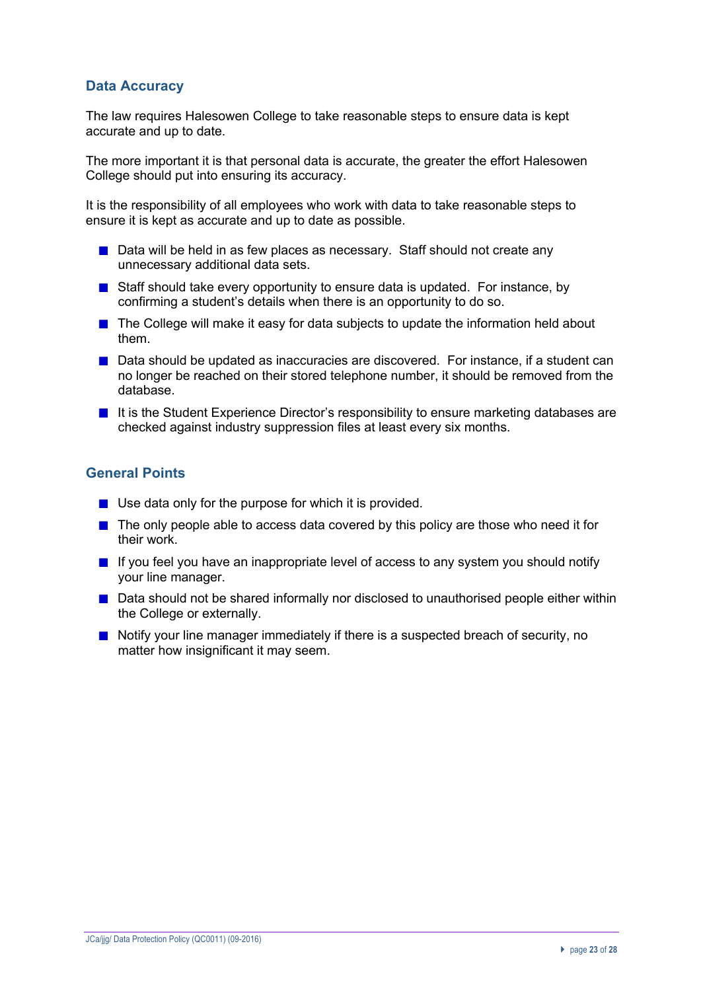## **Data Accuracy**

The law requires Halesowen College to take reasonable steps to ensure data is kept accurate and up to date.

The more important it is that personal data is accurate, the greater the effort Halesowen College should put into ensuring its accuracy.

It is the responsibility of all employees who work with data to take reasonable steps to ensure it is kept as accurate and up to date as possible.

- Data will be held in as few places as necessary. Staff should not create any unnecessary additional data sets.
- **Staff should take every opportunity to ensure data is updated. For instance, by** confirming a student's details when there is an opportunity to do so.
- The College will make it easy for data subjects to update the information held about them.
- Data should be updated as inaccuracies are discovered. For instance, if a student can no longer be reached on their stored telephone number, it should be removed from the database.
- If it is the Student Experience Director's responsibility to ensure marketing databases are checked against industry suppression files at least every six months.

## **General Points**

- $\blacksquare$  Use data only for the purpose for which it is provided.
- $\blacksquare$  The only people able to access data covered by this policy are those who need it for their work.
- $\blacksquare$  If you feel you have an inappropriate level of access to any system you should notify your line manager.
- Data should not be shared informally nor disclosed to unauthorised people either within the College or externally.
- Notify your line manager immediately if there is a suspected breach of security, no matter how insignificant it may seem.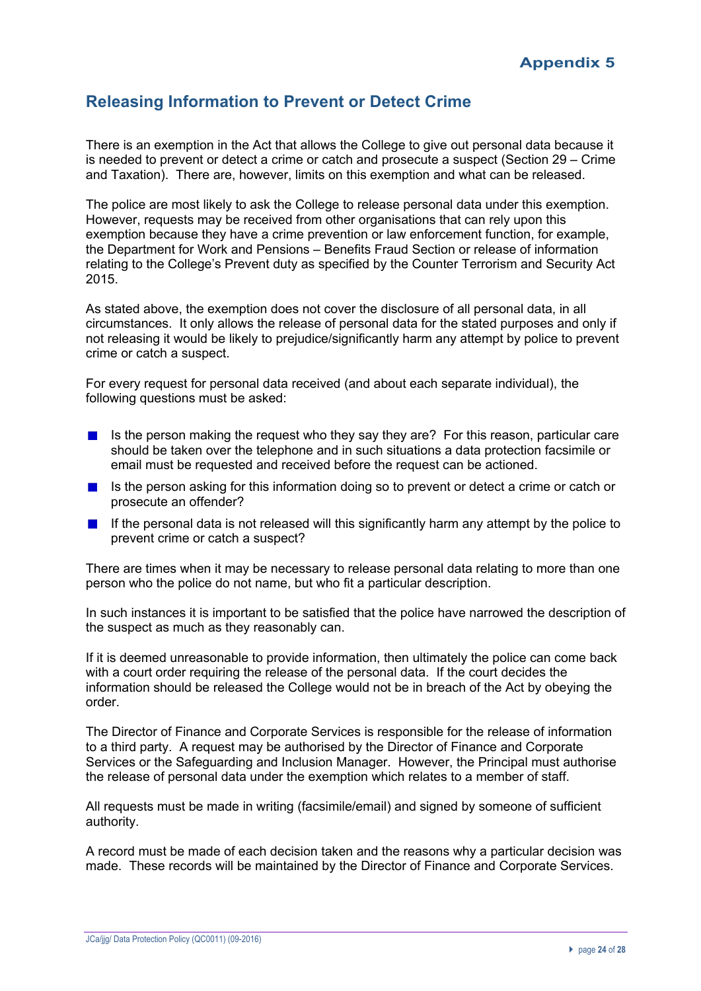## **Releasing Information to Prevent or Detect Crime**

There is an exemption in the Act that allows the College to give out personal data because it is needed to prevent or detect a crime or catch and prosecute a suspect (Section 29 – Crime and Taxation). There are, however, limits on this exemption and what can be released.

The police are most likely to ask the College to release personal data under this exemption. However, requests may be received from other organisations that can rely upon this exemption because they have a crime prevention or law enforcement function, for example, the Department for Work and Pensions – Benefits Fraud Section or release of information relating to the College's Prevent duty as specified by the Counter Terrorism and Security Act 2015.

As stated above, the exemption does not cover the disclosure of all personal data, in all circumstances. It only allows the release of personal data for the stated purposes and only if not releasing it would be likely to prejudice/significantly harm any attempt by police to prevent crime or catch a suspect.

For every request for personal data received (and about each separate individual), the following questions must be asked:

- Is the person making the request who they say they are? For this reason, particular care should be taken over the telephone and in such situations a data protection facsimile or email must be requested and received before the request can be actioned.
- Is the person asking for this information doing so to prevent or detect a crime or catch or **Contract Contract** prosecute an offender?
- If the personal data is not released will this significantly harm any attempt by the police to **Contract** prevent crime or catch a suspect?

There are times when it may be necessary to release personal data relating to more than one person who the police do not name, but who fit a particular description.

In such instances it is important to be satisfied that the police have narrowed the description of the suspect as much as they reasonably can.

If it is deemed unreasonable to provide information, then ultimately the police can come back with a court order requiring the release of the personal data. If the court decides the information should be released the College would not be in breach of the Act by obeying the order.

The Director of Finance and Corporate Services is responsible for the release of information to a third party. A request may be authorised by the Director of Finance and Corporate Services or the Safeguarding and Inclusion Manager. However, the Principal must authorise the release of personal data under the exemption which relates to a member of staff.

All requests must be made in writing (facsimile/email) and signed by someone of sufficient authority.

A record must be made of each decision taken and the reasons why a particular decision was made. These records will be maintained by the Director of Finance and Corporate Services.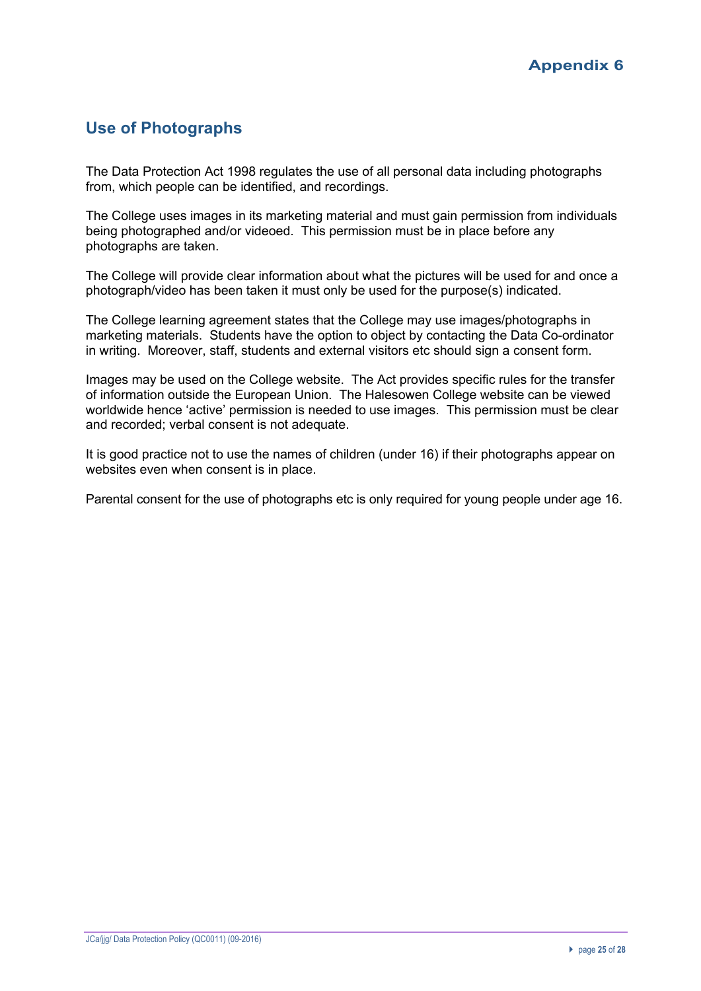## **Use of Photographs**

The Data Protection Act 1998 regulates the use of all personal data including photographs from, which people can be identified, and recordings.

The College uses images in its marketing material and must gain permission from individuals being photographed and/or videoed. This permission must be in place before any photographs are taken.

The College will provide clear information about what the pictures will be used for and once a photograph/video has been taken it must only be used for the purpose(s) indicated.

The College learning agreement states that the College may use images/photographs in marketing materials. Students have the option to object by contacting the Data Co-ordinator in writing. Moreover, staff, students and external visitors etc should sign a consent form.

Images may be used on the College website. The Act provides specific rules for the transfer of information outside the European Union. The Halesowen College website can be viewed worldwide hence 'active' permission is needed to use images. This permission must be clear and recorded; verbal consent is not adequate.

It is good practice not to use the names of children (under 16) if their photographs appear on websites even when consent is in place.

Parental consent for the use of photographs etc is only required for young people under age 16.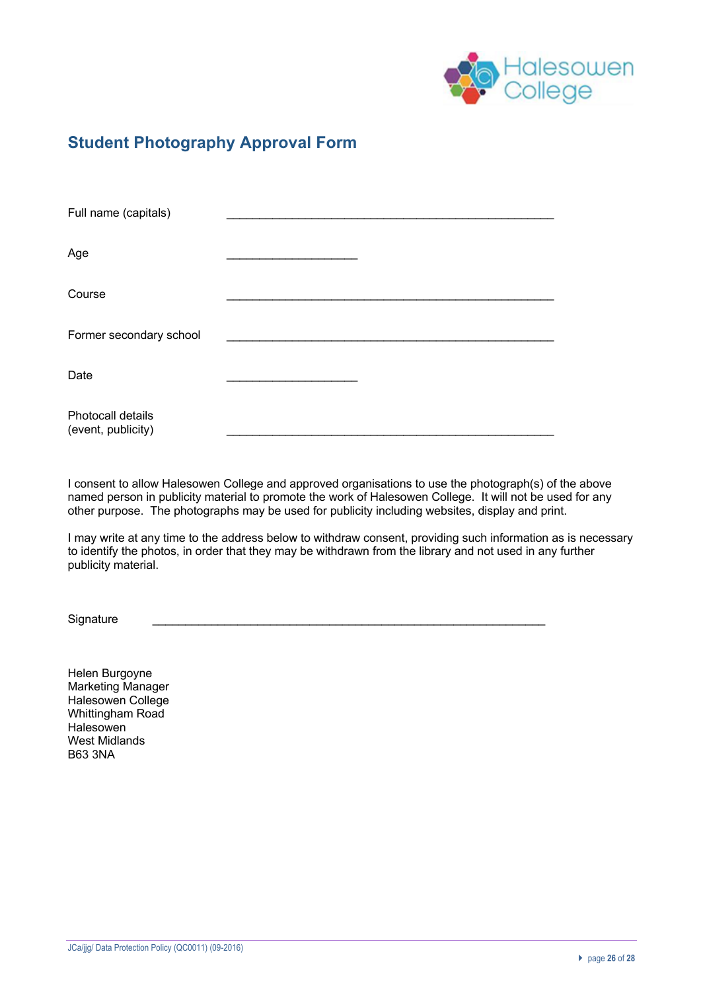

## **Student Photography Approval Form**

| Full name (capitals)                    |  |
|-----------------------------------------|--|
| Age                                     |  |
| Course                                  |  |
| Former secondary school                 |  |
| Date                                    |  |
| Photocall details<br>(event, publicity) |  |

I consent to allow Halesowen College and approved organisations to use the photograph(s) of the above named person in publicity material to promote the work of Halesowen College. It will not be used for any other purpose. The photographs may be used for publicity including websites, display and print.

I may write at any time to the address below to withdraw consent, providing such information as is necessary to identify the photos, in order that they may be withdrawn from the library and not used in any further publicity material.

Signature

Helen Burgoyne Marketing Manager Halesowen College Whittingham Road Halesowen West Midlands B63 3NA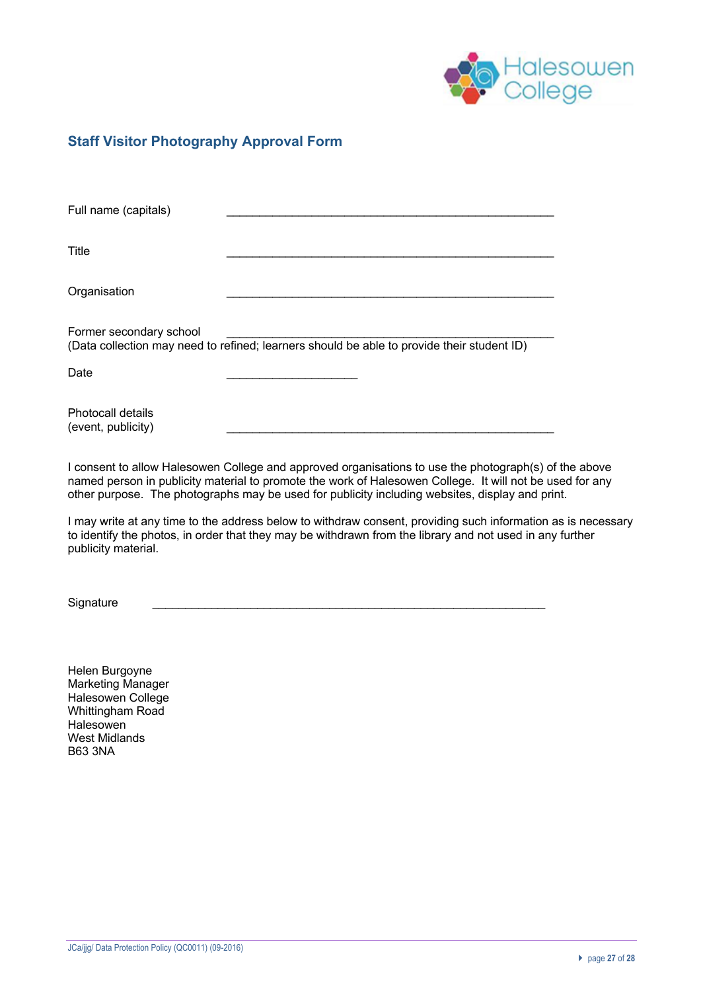

## **Staff Visitor Photography Approval Form**

| Full name (capitals)                    |                                                                                            |
|-----------------------------------------|--------------------------------------------------------------------------------------------|
| Title                                   |                                                                                            |
| Organisation                            |                                                                                            |
| Former secondary school                 | (Data collection may need to refined; learners should be able to provide their student ID) |
| Date                                    |                                                                                            |
| Photocall details<br>(event, publicity) |                                                                                            |

I consent to allow Halesowen College and approved organisations to use the photograph(s) of the above named person in publicity material to promote the work of Halesowen College. It will not be used for any other purpose. The photographs may be used for publicity including websites, display and print.

I may write at any time to the address below to withdraw consent, providing such information as is necessary to identify the photos, in order that they may be withdrawn from the library and not used in any further publicity material.

Signature

Helen Burgoyne Marketing Manager Halesowen College Whittingham Road **Halesowen** West Midlands B63 3NA